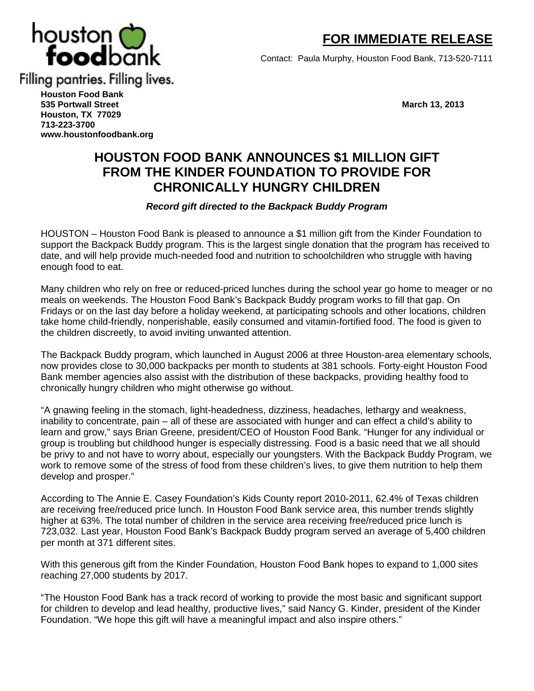

 **FOR IMMEDIATE RELEASE**

Contact: Paula Murphy, Houston Food Bank, 713-520-7111

**Houston Food Bank 535 Portwall Street March 13, 2013 Houston, TX 77029 713-223-3700 [www.houstonfoodbank.org](http://www.houstonfoodbank.org/)**

## **HOUSTON FOOD BANK ANNOUNCES \$1 MILLION GIFT FROM THE KINDER FOUNDATION TO PROVIDE FOR CHRONICALLY HUNGRY CHILDREN**

## *Record gift directed to the Backpack Buddy Program*

HOUSTON – Houston Food Bank is pleased to announce a \$1 million gift from the Kinder Foundation to support the Backpack Buddy program. This is the largest single donation that the program has received to date, and will help provide much-needed food and nutrition to schoolchildren who struggle with having enough food to eat.

Many children who rely on free or reduced-priced lunches during the school year go home to meager or no meals on weekends. The Houston Food Bank's Backpack Buddy program works to fill that gap. On Fridays or on the last day before a holiday weekend, at participating schools and other locations, children take home child-friendly, nonperishable, easily consumed and vitamin-fortified food. The food is given to the children discreetly, to avoid inviting unwanted attention.

The Backpack Buddy program, which launched in August 2006 at three Houston-area elementary schools, now provides close to 30,000 backpacks per month to students at 381 schools. Forty-eight Houston Food Bank member agencies also assist with the distribution of these backpacks, providing healthy food to chronically hungry children who might otherwise go without.

"A gnawing feeling in the stomach, light-headedness, dizziness, headaches, lethargy and weakness, inability to concentrate, pain – all of these are associated with hunger and can effect a child's ability to learn and grow," says Brian Greene, president/CEO of Houston Food Bank. "Hunger for any individual or group is troubling but childhood hunger is especially distressing. Food is a basic need that we all should be privy to and not have to worry about, especially our youngsters. With the Backpack Buddy Program, we work to remove some of the stress of food from these children's lives, to give them nutrition to help them develop and prosper."

According to The Annie E. Casey Foundation's Kids County report 2010-2011, 62.4% of Texas children are receiving free/reduced price lunch. In Houston Food Bank service area, this number trends slightly higher at 63%. The total number of children in the service area receiving free/reduced price lunch is 723,032. Last year, Houston Food Bank's Backpack Buddy program served an average of 5,400 children per month at 371 different sites.

With this generous gift from the Kinder Foundation, Houston Food Bank hopes to expand to 1,000 sites reaching 27,000 students by 2017.

"The Houston Food Bank has a track record of working to provide the most basic and significant support for children to develop and lead healthy, productive lives," said Nancy G. Kinder, president of the Kinder Foundation. "We hope this gift will have a meaningful impact and also inspire others."